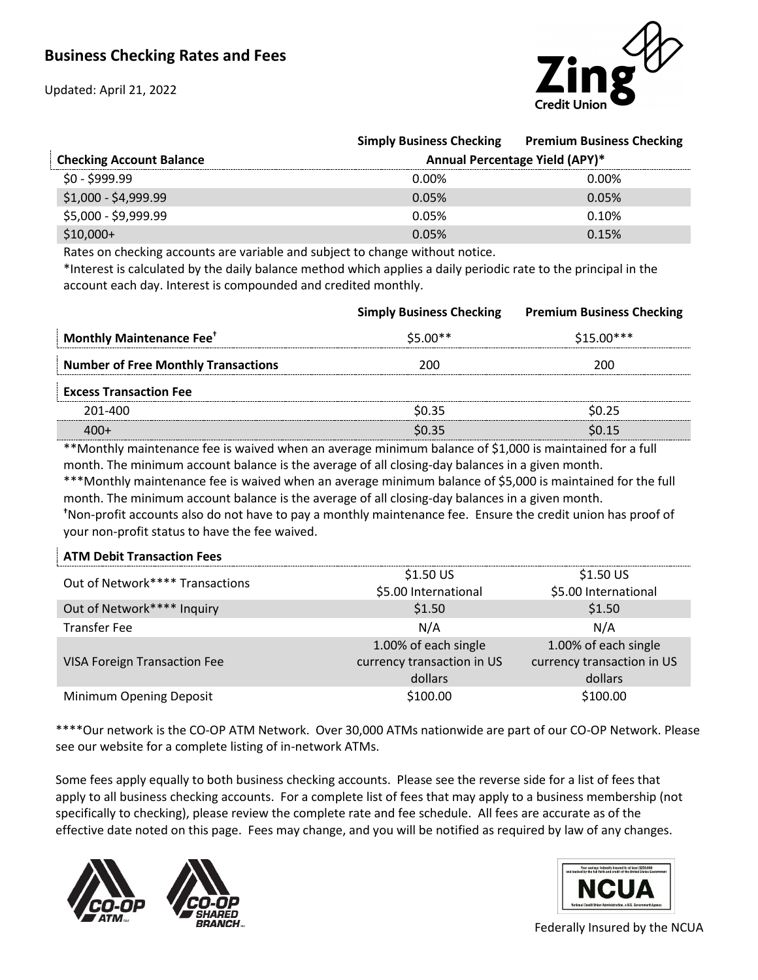Updated: April 21, 2022



|                                 | <b>Simply Business Checking</b> | <b>Premium Business Checking</b> |
|---------------------------------|---------------------------------|----------------------------------|
| <b>Checking Account Balance</b> | Annual Percentage Yield (APY)*  |                                  |
| $$0 - $999.99$                  | $0.00\%$                        | $0.00\%$                         |
| $$1,000 - $4,999.99$            | 0.05%                           | 0.05%                            |
| \$5,000 - \$9,999.99            | 0.05%                           | 0.10%                            |
| $$10,000+$                      | 0.05%                           | 0.15%                            |

Rates on checking accounts are variable and subject to change without notice.

\*Interest is calculated by the daily balance method which applies a daily periodic rate to the principal in the account each day. Interest is compounded and credited monthly.

|                                            | <b>Simply Business Checking</b> | <b>Premium Business Checking</b> |
|--------------------------------------------|---------------------------------|----------------------------------|
| <b>Monthly Maintenance Fee<sup>+</sup></b> | $$5.00**$                       | \$15.00***                       |
| <b>Number of Free Monthly Transactions</b> | 200                             | 200                              |
| <b>Excess Transaction Fee</b>              |                                 |                                  |
| 201-400                                    | \$0.35                          | SN 25                            |
|                                            | \$0.35                          |                                  |
|                                            |                                 |                                  |

\*\*Monthly maintenance fee is waived when an average minimum balance of \$1,000 is maintained for a full month. The minimum account balance is the average of all closing-day balances in a given month. \*\*\*Monthly maintenance fee is waived when an average minimum balance of \$5,000 is maintained for the full month. The minimum account balance is the average of all closing-day balances in a given month. **†**Non-profit accounts also do not have to pay a monthly maintenance fee. Ensure the credit union has proof of your non-profit status to have the fee waived.

## **ATM Debit Transaction Fees**

| Out of Network**** Transactions     | $$1.50$ US<br>\$5.00 International | $$1.50$ US<br>\$5.00 International |
|-------------------------------------|------------------------------------|------------------------------------|
|                                     |                                    |                                    |
| Out of Network**** Inquiry          | \$1.50                             | \$1.50                             |
| <b>Transfer Fee</b>                 | N/A                                | N/A                                |
|                                     | 1.00% of each single               | 1.00% of each single               |
| <b>VISA Foreign Transaction Fee</b> | currency transaction in US         | currency transaction in US         |
|                                     | dollars                            | dollars                            |
| Minimum Opening Deposit             | \$100.00                           | \$100.00                           |

\*\*\*\*Our network is the CO-OP ATM Network. Over 30,000 ATMs nationwide are part of our CO-OP Network. Please see our website for a complete listing of in-network ATMs.

Some fees apply equally to both business checking accounts. Please see the reverse side for a list of fees that apply to all business checking accounts. For a complete list of fees that may apply to a business membership (not specifically to checking), please review the complete rate and fee schedule. All fees are accurate as of the effective date noted on this page. Fees may change, and you will be notified as required by law of any changes.







Federally Insured by the NCUA